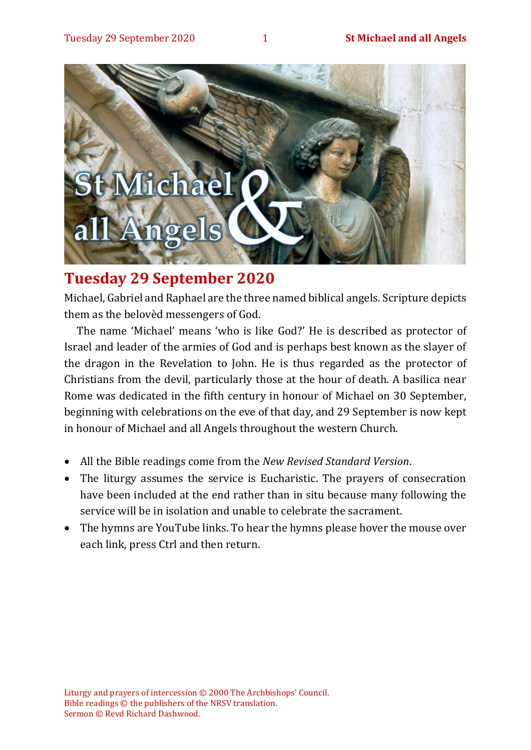

# **Tuesday 29 September 2020**

Michael, Gabriel and Raphael are the three named biblical angels. Scripture depicts them as the belovèd messengers of God.

The name 'Michael' means 'who is like God?' He is described as protector of Israel and leader of the armies of God and is perhaps best known as the slayer of the dragon in the Revelation to John. He is thus regarded as the protector of Christians from the devil, particularly those at the hour of death. A basilica near Rome was dedicated in the fifth century in honour of Michael on 30 September, beginning with celebrations on the eve of that day, and 29 September is now kept in honour of Michael and all Angels throughout the western Church.

- All the Bible readings come from the *New Revised Standard Version*.
- The liturgy assumes the service is Eucharistic. The prayers of consecration have been included at the end rather than in situ because many following the service will be in isolation and unable to celebrate the sacrament.
- The hymns are YouTube links. To hear the hymns please hover the mouse over each link, press Ctrl and then return.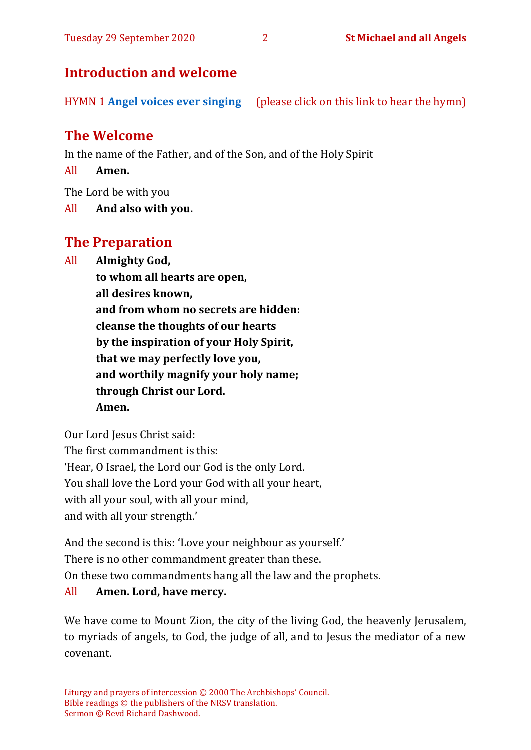#### **Introduction and welcome**

HYMN 1 **[Angel voices ever singing](https://www.youtube.com/watch?v=nig-VqlyGzA)** (please click on this link to hear the hymn)

# **The Welcome**

In the name of the Father, and of the Son, and of the Holy Spirit

All **Amen.**

The Lord be with you

All **And also with you.**

# **The Preparation**

All **Almighty God,**

**to whom all hearts are open, all desires known, and from whom no secrets are hidden: cleanse the thoughts of our hearts by the inspiration of your Holy Spirit, that we may perfectly love you, and worthily magnify your holy name; through Christ our Lord. Amen.**

Our Lord Jesus Christ said: The first commandment is this: 'Hear, O Israel, the Lord our God is the only Lord. You shall love the Lord your God with all your heart, with all your soul, with all your mind, and with all your strength.'

And the second is this: 'Love your neighbour as yourself.' There is no other commandment greater than these. On these two commandments hang all the law and the prophets. All **Amen. Lord, have mercy.**

We have come to Mount Zion, the city of the living God, the heavenly Jerusalem, to myriads of angels, to God, the judge of all, and to Jesus the mediator of a new covenant.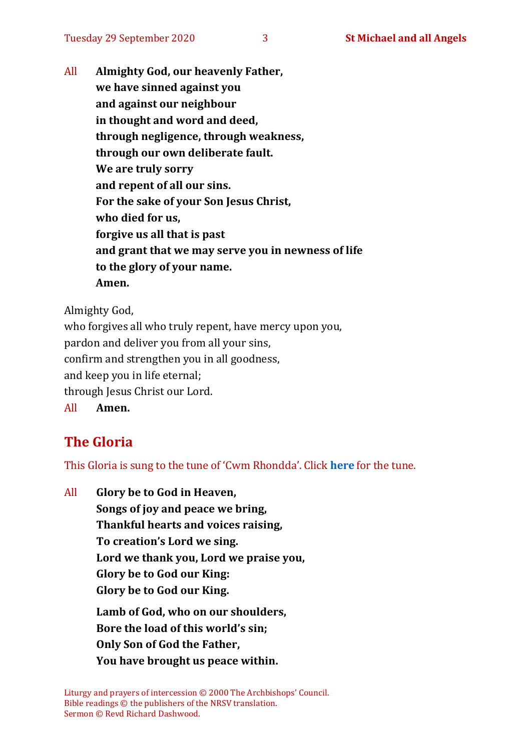All **Almighty God, our heavenly Father, we have sinned against you and against our neighbour in thought and word and deed, through negligence, through weakness, through our own deliberate fault. We are truly sorry and repent of all our sins. For the sake of your Son Jesus Christ, who died for us, forgive us all that is past and grant that we may serve you in newness of life to the glory of your name. Amen.**

Almighty God,

who forgives all who truly repent, have mercy upon you, pardon and deliver you from all your sins, confirm and strengthen you in all goodness, and keep you in life eternal; through Jesus Christ our Lord. All **Amen.**

# **The Gloria**

This Gloria is sung to the tune of 'Cwm Rhondda'. Click **[here](about:blank)** for the tune.

All **Glory be to God in Heaven, Songs of joy and peace we bring, Thankful hearts and voices raising, To creation's Lord we sing. Lord we thank you, Lord we praise you, Glory be to God our King: Glory be to God our King. Lamb of God, who on our shoulders, Bore the load of this world's sin; Only Son of God the Father, You have brought us peace within.**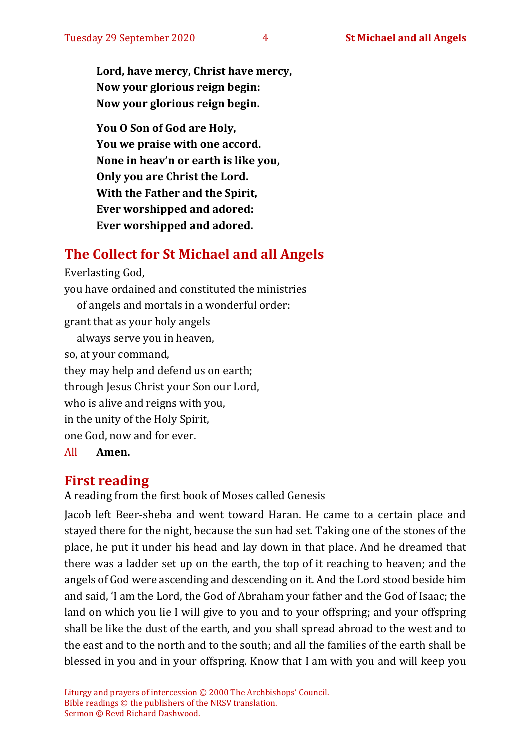**Lord, have mercy, Christ have mercy, Now your glorious reign begin: Now your glorious reign begin.**

**You O Son of God are Holy, You we praise with one accord. None in heav'n or earth is like you, Only you are Christ the Lord. With the Father and the Spirit, Ever worshipped and adored: Ever worshipped and adored.**

# **The Collect for St Michael and all Angels**

Everlasting God, you have ordained and constituted the ministries of angels and mortals in a wonderful order: grant that as your holy angels always serve you in heaven, so, at your command, they may help and defend us on earth; through Jesus Christ your Son our Lord, who is alive and reigns with you, in the unity of the Holy Spirit, one God, now and for ever. All **Amen.**

#### **First reading**

A reading from the first book of Moses called Genesis

Jacob left Beer-sheba and went toward Haran. He came to a certain place and stayed there for the night, because the sun had set. Taking one of the stones of the place, he put it under his head and lay down in that place. And he dreamed that there was a ladder set up on the earth, the top of it reaching to heaven; and the angels of God were ascending and descending on it. And the Lord stood beside him and said, 'I am the Lord, the God of Abraham your father and the God of Isaac; the land on which you lie I will give to you and to your offspring; and your offspring shall be like the dust of the earth, and you shall spread abroad to the west and to the east and to the north and to the south; and all the families of the earth shall be blessed in you and in your offspring. Know that I am with you and will keep you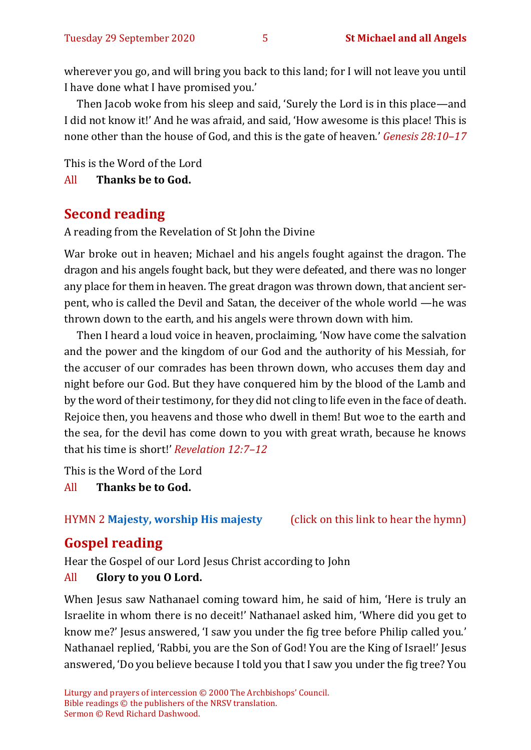wherever you go, and will bring you back to this land; for I will not leave you until I have done what I have promised you.'

Then Jacob woke from his sleep and said, 'Surely the Lord is in this place—and I did not know it!' And he was afraid, and said, 'How awesome is this place! This is none other than the house of God, and this is the gate of heaven.' *Genesis 28:10–17*

This is the Word of the Lord

All **Thanks be to God.**

#### **Second reading**

A reading from the Revelation of St John the Divine

War broke out in heaven; Michael and his angels fought against the dragon. The dragon and his angels fought back, but they were defeated, and there was no longer any place for them in heaven. The great dragon was thrown down, that ancient serpent, who is called the Devil and Satan, the deceiver of the whole world —he was thrown down to the earth, and his angels were thrown down with him.

Then I heard a loud voice in heaven, proclaiming, 'Now have come the salvation and the power and the kingdom of our God and the authority of his Messiah, for the accuser of our comrades has been thrown down, who accuses them day and night before our God. But they have conquered him by the blood of the Lamb and by the word of their testimony, for they did not cling to life even in the face of death. Rejoice then, you heavens and those who dwell in them! But woe to the earth and the sea, for the devil has come down to you with great wrath, because he knows that his time is short!' *Revelation 12:7–12*

This is the Word of the Lord

All **Thanks be to God.**

#### HYMN 2 **[Majesty, worship His majesty](https://www.youtube.com/watch?v=BcbCAq_A7to)** (click on this link to hear the hymn)

#### **Gospel reading**

Hear the Gospel of our Lord Jesus Christ according to John

All **Glory to you O Lord.**

When Jesus saw Nathanael coming toward him, he said of him, 'Here is truly an Israelite in whom there is no deceit!' Nathanael asked him, 'Where did you get to know me?' Jesus answered, 'I saw you under the fig tree before Philip called you.' Nathanael replied, 'Rabbi, you are the Son of God! You are the King of Israel!' Jesus answered, 'Do you believe because I told you that I saw you under the fig tree? You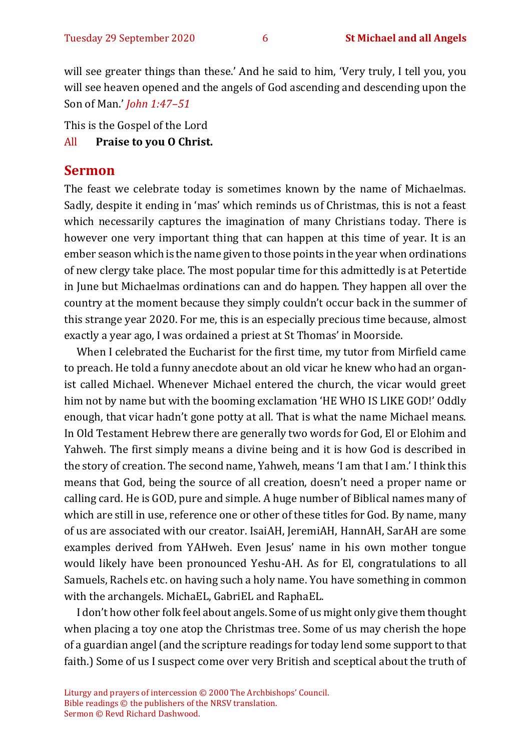will see greater things than these.' And he said to him, 'Very truly, I tell you, you will see heaven opened and the angels of God ascending and descending upon the Son of Man.' *John 1:47–51*

This is the Gospel of the Lord All **Praise to you O Christ.** 

#### **Sermon**

The feast we celebrate today is sometimes known by the name of Michaelmas. Sadly, despite it ending in 'mas' which reminds us of Christmas, this is not a feast which necessarily captures the imagination of many Christians today. There is however one very important thing that can happen at this time of year. It is an ember season which is the name given to those points in the year when ordinations of new clergy take place. The most popular time for this admittedly is at Petertide in June but Michaelmas ordinations can and do happen. They happen all over the country at the moment because they simply couldn't occur back in the summer of this strange year 2020. For me, this is an especially precious time because, almost exactly a year ago, I was ordained a priest at St Thomas' in Moorside.

When I celebrated the Eucharist for the first time, my tutor from Mirfield came to preach. He told a funny anecdote about an old vicar he knew who had an organist called Michael. Whenever Michael entered the church, the vicar would greet him not by name but with the booming exclamation 'HE WHO IS LIKE GOD!' Oddly enough, that vicar hadn't gone potty at all. That is what the name Michael means. In Old Testament Hebrew there are generally two words for God, El or Elohim and Yahweh. The first simply means a divine being and it is how God is described in the story of creation. The second name, Yahweh, means 'I am that I am.' I think this means that God, being the source of all creation, doesn't need a proper name or calling card. He is GOD, pure and simple. A huge number of Biblical names many of which are still in use, reference one or other of these titles for God. By name, many of us are associated with our creator. IsaiAH, JeremiAH, HannAH, SarAH are some examples derived from YAHweh. Even Jesus' name in his own mother tongue would likely have been pronounced Yeshu-AH. As for El, congratulations to all Samuels, Rachels etc. on having such a holy name. You have something in common with the archangels. MichaEL, GabriEL and RaphaEL.

I don't how other folk feel about angels. Some of us might only give them thought when placing a toy one atop the Christmas tree. Some of us may cherish the hope of a guardian angel (and the scripture readings for today lend some support to that faith.) Some of us I suspect come over very British and sceptical about the truth of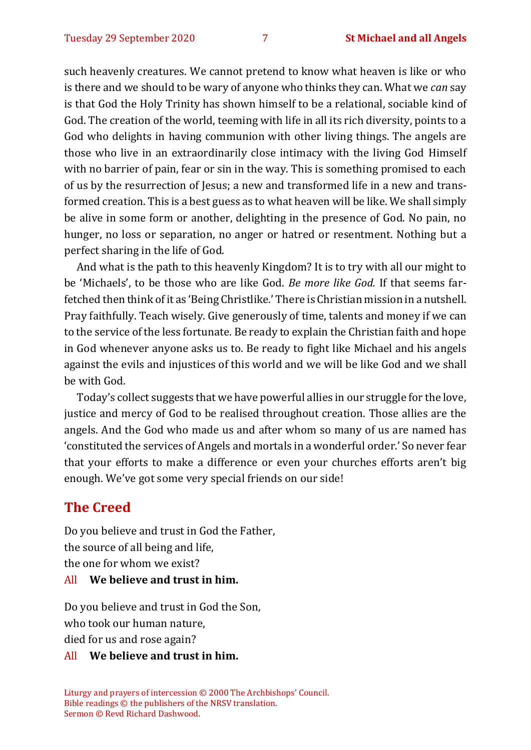such heavenly creatures. We cannot pretend to know what heaven is like or who is there and we should to be wary of anyone who thinks they can. What we *can* say is that God the Holy Trinity has shown himself to be a relational, sociable kind of God. The creation of the world, teeming with life in all its rich diversity, points to a God who delights in having communion with other living things. The angels are those who live in an extraordinarily close intimacy with the living God Himself with no barrier of pain, fear or sin in the way. This is something promised to each of us by the resurrection of Jesus; a new and transformed life in a new and transformed creation. This is a best guess as to what heaven will be like. We shall simply be alive in some form or another, delighting in the presence of God. No pain, no hunger, no loss or separation, no anger or hatred or resentment. Nothing but a perfect sharing in the life of God.

And what is the path to this heavenly Kingdom? It is to try with all our might to be 'Michaels', to be those who are like God. *Be more like God.* If that seems farfetched then think of it as 'Being Christlike.' There is Christian mission in a nutshell. Pray faithfully. Teach wisely. Give generously of time, talents and money if we can to the service of the less fortunate. Be ready to explain the Christian faith and hope in God whenever anyone asks us to. Be ready to fight like Michael and his angels against the evils and injustices of this world and we will be like God and we shall be with God.

Today's collect suggests that we have powerful allies in our struggle for the love, justice and mercy of God to be realised throughout creation. Those allies are the angels. And the God who made us and after whom so many of us are named has 'constituted the services of Angels and mortals in a wonderful order.' So never fear that your efforts to make a difference or even your churches efforts aren't big enough. We've got some very special friends on our side!

#### **The Creed**

Do you believe and trust in God the Father, the source of all being and life, the one for whom we exist? All **We believe and trust in him.**

Do you believe and trust in God the Son, who took our human nature, died for us and rose again?

#### All **We believe and trust in him.**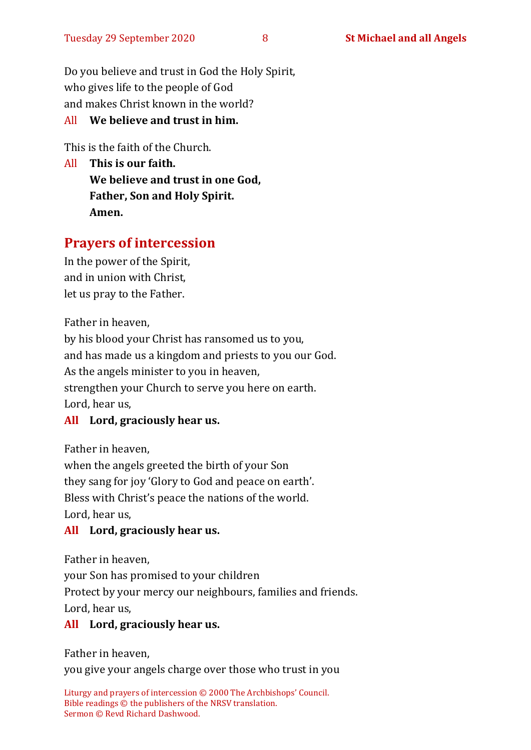Do you believe and trust in God the Holy Spirit, who gives life to the people of God and makes Christ known in the world?

#### All **We believe and trust in him.**

This is the faith of the Church.

All **This is our faith. We believe and trust in one God, Father, Son and Holy Spirit. Amen.**

# **Prayers of intercession**

In the power of the Spirit, and in union with Christ, let us pray to the Father.

Father in heaven,

by his blood your Christ has ransomed us to you, and has made us a kingdom and priests to you our God. As the angels minister to you in heaven, strengthen your Church to serve you here on earth. Lord, hear us,

#### **All Lord, graciously hear us.**

Father in heaven,

when the angels greeted the birth of your Son they sang for joy 'Glory to God and peace on earth'. Bless with Christ's peace the nations of the world. Lord, hear us,

#### **All Lord, graciously hear us.**

Father in heaven,

your Son has promised to your children

Protect by your mercy our neighbours, families and friends.

Lord, hear us,

#### **All Lord, graciously hear us.**

Father in heaven,

you give your angels charge over those who trust in you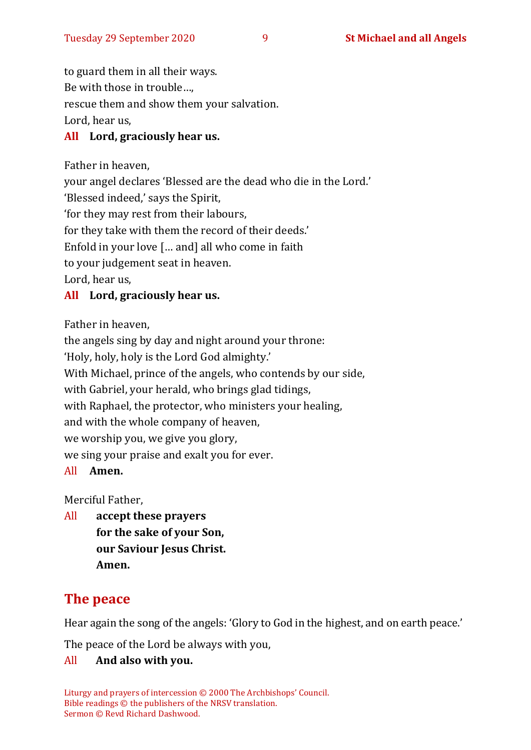to guard them in all their ways.

Be with those in trouble…,

rescue them and show them your salvation.

Lord, hear us,

#### **All Lord, graciously hear us.**

Father in heaven,

your angel declares 'Blessed are the dead who die in the Lord.'

'Blessed indeed,' says the Spirit,

'for they may rest from their labours,

for they take with them the record of their deeds.'

Enfold in your love [… and] all who come in faith

to your judgement seat in heaven.

Lord, hear us,

#### **All Lord, graciously hear us.**

Father in heaven,

the angels sing by day and night around your throne: 'Holy, holy, holy is the Lord God almighty.' With Michael, prince of the angels, who contends by our side, with Gabriel, your herald, who brings glad tidings, with Raphael, the protector, who ministers your healing, and with the whole company of heaven, we worship you, we give you glory, we sing your praise and exalt you for ever. All **Amen.**

Merciful Father,

All **accept these prayers for the sake of your Son, our Saviour Jesus Christ. Amen.**

# **The peace**

Hear again the song of the angels: 'Glory to God in the highest, and on earth peace.'

The peace of the Lord be always with you,

#### All **And also with you.**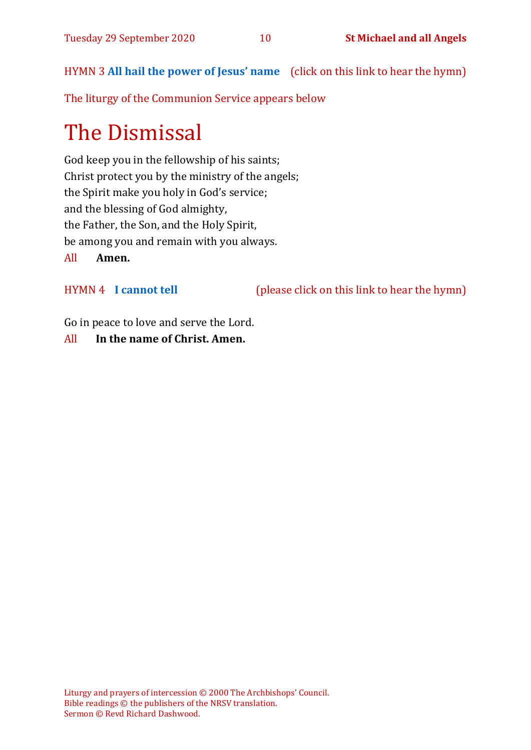HYMN 3 **[All hail the power of Jesus' name](https://www.youtube.com/watch?v=5WVSyGBBfi8)** (click on this link to hear the hymn)

The liturgy of the Communion Service appears below

# The Dismissal

God keep you in the fellowship of his saints; Christ protect you by the ministry of the angels; the Spirit make you holy in God's service; and the blessing of God almighty, the Father, the Son, and the Holy Spirit, be among you and remain with you always.

All **Amen.**

#### HYMN 4 **[I cannot tell](https://www.youtube.com/watch?v=62wk5KvI7-w)** (please click on this link to hear the hymn)

Go in peace to love and serve the Lord.

#### All **In the name of Christ. Amen.**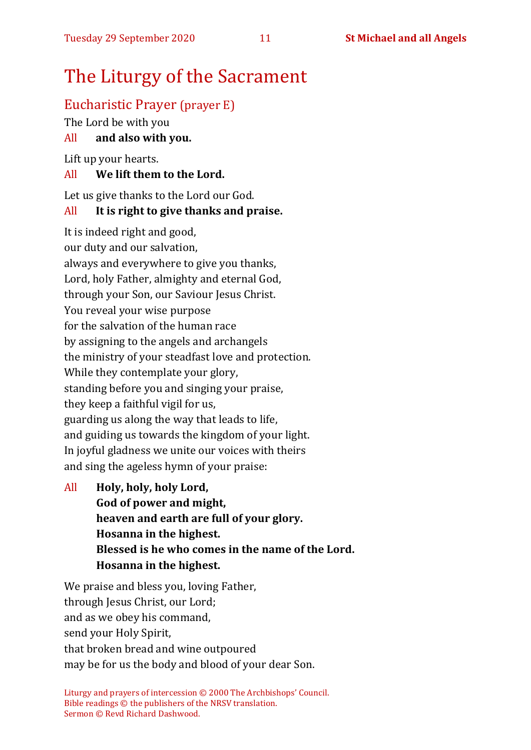# The Liturgy of the Sacrament

# Eucharistic Prayer (prayer E)

The Lord be with you

#### All **and also with you.**

Lift up your hearts.

#### All **We lift them to the Lord.**

Let us give thanks to the Lord our God.

#### All **It is right to give thanks and praise.**

It is indeed right and good, our duty and our salvation, always and everywhere to give you thanks, Lord, holy Father, almighty and eternal God, through your Son, our Saviour Jesus Christ. You reveal your wise purpose for the salvation of the human race by assigning to the angels and archangels the ministry of your steadfast love and protection. While they contemplate your glory, standing before you and singing your praise, they keep a faithful vigil for us, guarding us along the way that leads to life, and guiding us towards the kingdom of your light. In joyful gladness we unite our voices with theirs and sing the ageless hymn of your praise:

All **Holy, holy, holy Lord, God of power and might, heaven and earth are full of your glory. Hosanna in the highest. Blessed is he who comes in the name of the Lord. Hosanna in the highest.**

We praise and bless you, loving Father, through Jesus Christ, our Lord; and as we obey his command, send your Holy Spirit, that broken bread and wine outpoured may be for us the body and blood of your dear Son.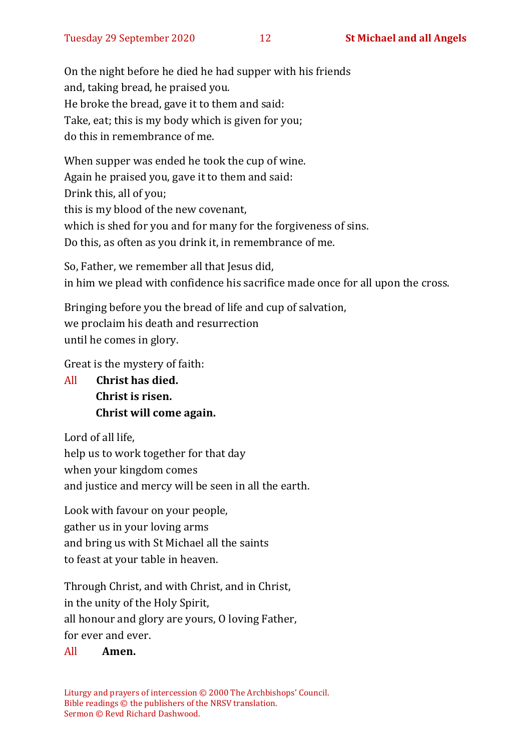On the night before he died he had supper with his friends and, taking bread, he praised you. He broke the bread, gave it to them and said: Take, eat; this is my body which is given for you; do this in remembrance of me.

When supper was ended he took the cup of wine. Again he praised you, gave it to them and said: Drink this, all of you; this is my blood of the new covenant, which is shed for you and for many for the forgiveness of sins. Do this, as often as you drink it, in remembrance of me.

So, Father, we remember all that Jesus did, in him we plead with confidence his sacrifice made once for all upon the cross.

Bringing before you the bread of life and cup of salvation, we proclaim his death and resurrection until he comes in glory.

Great is the mystery of faith:

All **Christ has died. Christ is risen. Christ will come again.**

Lord of all life, help us to work together for that day when your kingdom comes and justice and mercy will be seen in all the earth.

Look with favour on your people, gather us in your loving arms and bring us with St Michael all the saints to feast at your table in heaven.

Through Christ, and with Christ, and in Christ, in the unity of the Holy Spirit, all honour and glory are yours, O loving Father,

for ever and ever.

#### All **Amen.**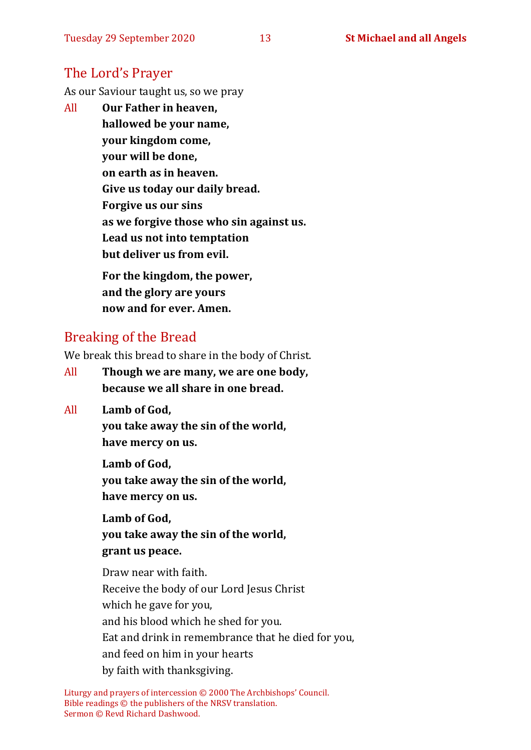# The Lord's Prayer

As our Saviour taught us, so we pray

All **Our Father in heaven, hallowed be your name, your kingdom come, your will be done, on earth as in heaven. Give us today our daily bread. Forgive us our sins as we forgive those who sin against us. Lead us not into temptation but deliver us from evil. For the kingdom, the power,** 

**and the glory are yours now and for ever. Amen.**

# Breaking of the Bread

We break this bread to share in the body of Christ.

- All **Though we are many, we are one body, because we all share in one bread.**
- All **Lamb of God,**

**you take away the sin of the world, have mercy on us.**

**Lamb of God, you take away the sin of the world, have mercy on us.**

**Lamb of God, you take away the sin of the world, grant us peace.**

Draw near with faith. Receive the body of our Lord Jesus Christ which he gave for you, and his blood which he shed for you. Eat and drink in remembrance that he died for you, and feed on him in your hearts by faith with thanksgiving.